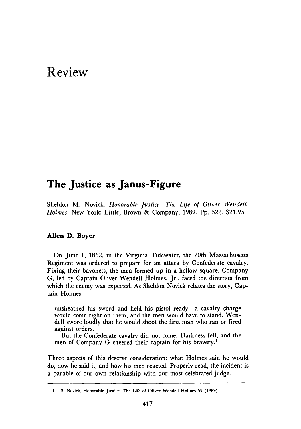# **Review**

# **The Justice as Janus-Figure**

Sheldon M. Novick. *Honorable Justice: The Life of Oliver Wendell Holmes.* New York: Little, Brown **&** Company, **1989. Pp. 522. \$21.95.**

# Allen **D. Boyer**

On June **1, 1862,** in the Virginia Tidewater, the 20th Massachusetts Regiment was ordered to prepare for an attack **by** Confederate cavalry. Fixing their bayonets, the men formed up in a hollow square. Company **G,** led **by** Captain Oliver Wendell Holmes, Jr., faced the direction from which the enemy was expected. As Sheldon Novick relates the story, Captain Holmes

unsheathed his sword and held his pistol ready-a cavalry charge would come right on them, and the men would have to stand. Wendell swore loudly that he would shoot the first man who ran or fired against orders.

But the Confederate cavalry did not come. Darkness fell, and the men of Company **G** cheered their captain for his bravery.'

Three aspects of this deserve consideration: what Holmes said he would do, how he said it, and how his men reacted. Properly read, the incident is a parable of our own relationship with our most celebrated judge.

**<sup>1.</sup> S.** Novick, Honorable Justice: The Life of Oliver Wendell Holmes **59 (1989).**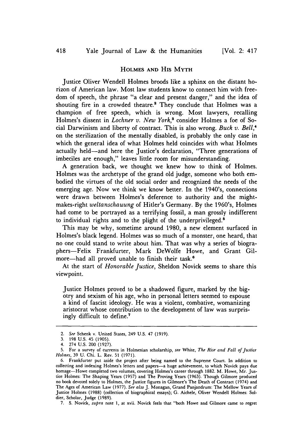## **HOLMES** AND **His MYTH**

Justice Oliver Wendell Holmes broods like a sphinx on the distant horizon of American law. Most law students know to connect him with freedom of speech, the phrase "a clear and present danger," and the idea of shouting fire in a crowded theatre.<sup>2</sup> They conclude that Holmes was a champion of free speech, which is wrong. Most lawyers, recalling Holmes's dissent in *Lochner v. New York*,<sup>3</sup> consider Holmes a foe of Social Darwinism and liberty of contract. This is also wrong. *Buck v. Bell,"* on the sterilization of the mentally disabled, is probably the only case in which the general idea of what Holmes held coincides with what Holmes actually held-and here the Justice's declaration, "Three generations of imbeciles are enough," leaves little room for misunderstanding.

A generation back, we thought we knew how to think of Holmes. Holmes was the archetype of the grand old judge, someone who both embodied the virtues of the old social order and recognized the needs of the emerging age. Now we think we know better. In the 1940's, connections were drawn between Holmes's deference to authority and the mightmakes-right *weltanschauung* of Hitler's Germany. By the 1960's, Holmes had come to be portrayed as a terrifying fossil, a man grossly indifferent to individual rights and to the plight of the underprivileged.<sup>5</sup>

This may be why, sometime around 1980, a new element surfaced in Holmes's black legend. Holmes was so much of a monster, one heard, that no one could stand to write about him. That was why a series of biographers-Felix Frankfurter, Mark DeWolfe Howe, and Grant Gilmore-had all proved unable to finish their task.<sup>6</sup>

At the start of *Honorable Justice,* Sheldon Novick seems to share this viewpoint.

Justice Holmes proved to be a shadowed figure, marked by the bigotry and sexism of his age, who in personal letters seemed to espouse a kind of fascist ideology. He was a violent, combative, womanizing aristocrat whose contribution to the development of law was surprisingly difficult to define.<sup>7</sup>

<sup>2.</sup> See Schenk v. United States, 249 U.S. 47 (1919).

<sup>3. 198</sup> U.S. 45 (1905).

<sup>4. 274</sup> U.S. 200 (1927).

<sup>5.</sup> For a survey of currents in Holmesian scholarship, *see* White, *The Rise and Fall of Justice Holmes,* 39 U. Chi. L. Rev. 51 (1971).

<sup>6.</sup> Frankfurter put aside the project after being named to the Supreme Court. In addition to collecting and indexing Holmes's letters and papers-a huge achievement, to which Novick pays due homage—Howe completed two volumes, covering Holmes's career through 1882. M. Howe, Mr. Justice Holmes: The Shaping Years (1957) and The Proving Years (1963). Though Gilmore produced no book devoted solely to Holmes, the Justice figures in Gilmore's The Death of Contract (1974) and The Ages of American Law (1977). *See also* J. Monagan, Grand Panjandrum: The Mellow Years of Justice Holmes (1988) (collection of biographical essays); G. Aichele, Oliver Wendell Holmes: Soldier, Scholar, Judge (1989).

<sup>7.</sup> **S.** Novick, *supra* note 1, at xvii. Novick feels that "both Howe and Gilmore came to regret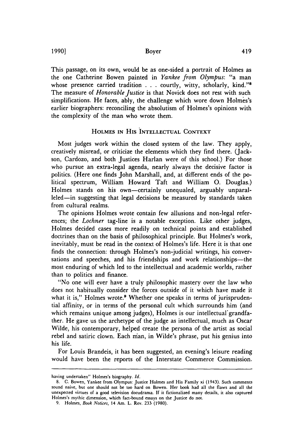Boyer

This passage, on its own, would be as one-sided a portrait of Holmes as the one Catherine Bowen painted in *Yankee from Olympus:* "a man whose presence carried tradition . . . courtly, witty, scholarly, kind."<sup>8</sup> The measure of *Honorable Justice* is that Novick does not rest with such simplifications. He faces, ably, the challenge which wore down Holmes's earlier biographers: reconciling the absolutism of Holmes's opinions with the complexity of the man who wrote them.

## **HOLMES IN** His **INTELLECTUAL CONTEXT**

Most judges work within the closed system of the law. They apply, creatively misread, or criticize the elements which they find there. (Jackson, Cardozo, and both Justices Harlan were of this school.) For those who pursue an extra-legal agenda, nearly always the decisive factor is politics. (Here one finds John Marshall, and, at different ends of the political spectrum, William Howard Taft and William **0.** Douglas.) Holmes stands on his own—certainly unequaled, arguably unparalleled-in suggesting that legal decisions be measured **by** standards taken from cultural realms.

The opinions Holmes wrote contain few allusions and non-legal references; the *Lochner* tag-line is a notable exception. Like other judges, Holmes decided cases more readily on technical points and established doctrines than on the basis of philosophical principle. But Holmes's work, inevitably, must **be** read in the context of Holmes's life. Here it is that one finds the connection: through Holmes's non-judicial writings, his conversations and speeches, and his friendships and work relationships-the most enduring of which led to the intellectual and academic worlds, rather than to politics and finance.

"No one will ever have a truly philosophic mastery over the law who does not habitually consider the forces outside of it which have made it what it is," Holmes wrote.<sup>9</sup> Whether one speaks in terms of jurisprudential affinity, or in terms of the personal cult which surrounds him (and which remains unique among judges), Holmes is our intellectual'grandfather. He gave us the archetype of the judge as intellectual, much as Oscar Wilde, his contemporary, helped create the persona of the artist as social rebel and satiric clown. Each man, in Wilde's phrase, put his genius into his life.

For Louis Brandeis, it has been suggested, an evening's leisure reading would have been the reports of the Interstate Commerce Commission.

**1990]**

having undertaken" Holmes's biography. *Id.*

**<sup>8.</sup>** C. Bowen, Yankee from Olympus: Justice Holmes and His Family xi (1943). Such comments sound naive, but one should not **be** too hard on Bowen. Her book had all the flaws and all the unexpected virtues of a good television docudrama. **If** it fictionalized many details, it also captured Holmes's mythic dimension, which fact-bound essays on the Justice do not.

**<sup>9.</sup>** Holmes, Book *Notices,* 14 Am. L. Rev. **233 (1980).**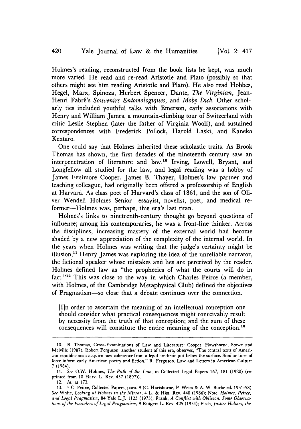Holmes's reading, reconstructed from the book lists he kept, was much more varied. He read and re-read Aristotle and Plato (possibly so that others might see him reading Aristotle and Plato). He also read Hobbes, Hegel, Marx, Spinoza, Herbert Spencer, Dante, *The Virginian,* Jean-Henri Fabré's Souvenirs Entomologiques, and Moby Dick. Other scholarly ties included youthful talks with Emerson, early associations with Henry and William James, a mountain-climbing tour of Switzerland with critic Leslie Stephen (later the father of Virginia Woolf), and sustained correspondences with Frederick Pollock, Harold Laski, and Kaneko Kentaro.

One could say that Holmes inherited these scholastic traits. As Brook Thomas has shown, the first decades of the nineteenth century saw an interpenetration of literature and law.<sup>10</sup> Irving, Lowell, Bryant, and Longfellow all studied for the law, and legal reading was a hobby of James Fenimore Cooper. James B. Thayer, Holmes's law partner and teaching colleague, had originally been offered a professorship of English at Harvard. As class poet of Harvard's class of 1861, and the son of Oliver Wendell Holmes Senior-essayist, novelist, poet, and medical reformer-Holmes was, perhaps, this era's last titan.

Holmes's links to nineteenth-century thought go beyond questions of influence; among his contemporaries, he was a front-line thinker. Across the disciplines, increasing mastery of the external world had become shaded by a new appreciation of the complexity of the internal world. In the years when Holmes was writing that the judge's certainty might be illusion, $<sup>11</sup>$  Henry James was exploring the idea of the unreliable narrator,</sup> the fictional speaker whose mistakes and lies are perceived by the reader. Holmes defined law as "the prophecies of what the courts will do in fact."<sup>12</sup> This was close to the way in which Charles Peirce (a member, with Holmes, of the Cambridge Metaphysical Club) defined the objectives of Pragmatism-so close that a debate continues over the connection.

[I]n order to ascertain the meaning of an intellectual conception one should consider what practical consequences might conceivably result by necessity from the truth of that conception; and the sum of these consequences will constitute the entire meaning of the conception.<sup>13</sup>

<sup>10.</sup> B. Thomas, Cross-Examinations of Law and Literature: Cooper, Hawthorne, Stowe and Melville (1987). Robert Ferguson, another student of this era, observes, "The central texts of American republicanism acquire new coherence from a legal aesthetic just below the surface. Similar lines of force inform early American poetry and fiction." R. Ferguson, Law and Letters in American Culture 7 (1984).

<sup>11.</sup> *See* O.W. Holmes, *The Path of the Law,* in Collected Legal Papers 167, 181 (1920) (reprinted from 10 Harv. L. Rev. 457 (1897)).

<sup>12.</sup> *Id.* at 173.

<sup>13. 5</sup> C. Peirce, Collected Papers, para. 9 (C. Hartshorne, P. Weiss & A. W. Burke ed. 1931-58). *See* White, *Looking at* Holmes *in the Mirror,* 4 L. & Hist. Rev. 440 (1986); Note, *Holmes, Peirce,* and *Legal* Pragmatism, 84 Yale L.J. 1123 (1975); Frank, *A Conflict with Oblivion: Some Observations of the Founders of Legal Pragmatism,* 9 Rutgers L. Rev. 425 (1954); *Fisch,.Justice Holmes, the*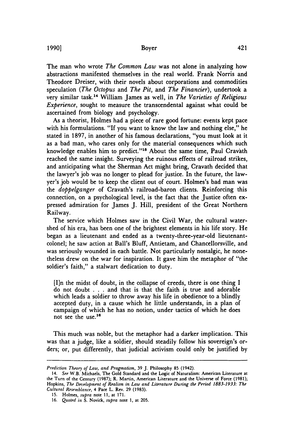#### Boyer

**1990]**

The man who wrote *The Common Law* was not alone in analyzing how abstractions manifested themselves in the real world. Frank Norris and Theodore Dreiser, with their novels about corporations and commodities speculation *(The Octopus* and *The Pit,* and *The Financier),* undertook a very similar task." William James as well, in *The Varieties of Religious Experience,* sought to measure the transcendental against what could be ascertained from biology and psychology.

As a theorist, Holmes had a piece of rare good fortune: events kept pace with his formulations. "If you want to know the law and nothing else," he stated in 1897, in another of his famous declarations, "you must look at it as a bad man, who cares only for the material consequences which such knowledge enables him to predict."<sup>15</sup> About the same time, Paul Cravath reached the same insight. Surveying the ruinous effects of railroad strikes, and anticipating what the Sherman Act might bring, Cravath decided that the lawyer's job was no longer to plead for justice. In the future, the lawyer's job would be to keep the client out of court. Holmes's bad man was the *doppelganger* of Cravath's railroad-baron clients. Reinforcing this connection, on a psychological level, is the fact that the Justice often expressed admiration for James J. Hill, president of the Great Northern Railway.

The service which Holmes saw in the Civil War, the cultural watershed of his era, has been one of the brightest elements in his life story. He began as a lieutenant and ended as a twenty-three-year-old lieutenantcolonel; he saw action at Ball's Bluff, Antietam, and Chancellorsville, and was seriously wounded in each battle. Not particularly nostalgic, he nonetheless drew on the war for inspiration. It gave him the metaphor of "the soldier's faith," a stalwart dedication to duty.

[I]n the midst of doubt, in the collapse of creeds, there is one thing I do not doubt . . .and that is that the faith is true and adorable which leads a soldier to throw away his life in obedience to a blindly accepted duty, in a cause which he little understands, in a plan of campaign of which he has no notion, under tactics of which he does not see the use.<sup>16</sup>

This much was noble, but the metaphor had a darker implication. This was that a judge, like a soldier, should steadily follow his sovereign's orders; or, put differently, that judicial activism could only be justified by

*Prediction Theory of Law, and Pragmatism,* 39 J. Philosophy 85 (1942).

<sup>14.</sup> *See* W.B. Michaels, The Gold Standard and the Logic of Naturalism: American Literature at the Turn of the Century **(1987);** R. Martin, American Literature and the Universe of Force **(1981);** Hopkins, *The Development of Realism in Law and Literature During the Period 1883-1933: The Cultural Resemblance,* 4 Pace L. Rev. **29 (1983).**

<sup>15.</sup> Holmes, *supra* note **11,** at 171.

<sup>16.</sup> *Quoted* in S. Novick, *supra* note 1, at 205.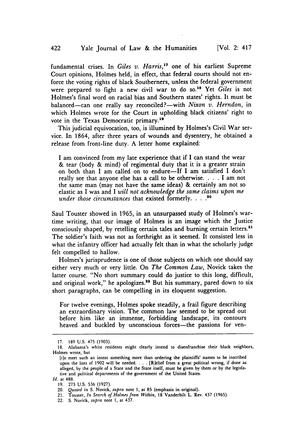fundamental crises. In *Giles v. Harris,17* one of his earliest Supreme Court opinions, Holmes held, in effect, that federal courts should not enforce the voting rights of black Southerners, unless the federal government were prepared to fight a new civil war to do so.<sup>18</sup> Yet *Giles* is not Holmes's final word on racial bias and Southern states' rights. It must be balanced—can one really say reconciled?—with *Nixon v. Herndon*, in which Holmes wrote for the Court in upholding black citizens' right to vote in the Texas Democratic primary.<sup>19</sup>

This judicial equivocation, too, is illumined by Holmes's Civil War service. In 1864, after three years of wounds and dysentery, he obtained a release from front-line duty. A letter home explained:

I am convinced from my late experience that if I can stand the wear & tear (body & mind) of regimental duty that it is a greater strain on both than I am called on to endure-If I am satisfied I don't really see that anyone else has a call to be otherwise. . **.** . I am not the same man (may not have the same ideas) & certainly am not so elastic as I was and I *will not acknowledge the same claims upon me under those circumstances* that existed formerly **.... o**

Saul Touster showed in 1965, in an unsurpassed study of Holmes's wartime writing, that our image of Holmes is an image which the Justice consciously shaped, by retelling certain tales and burning certain letters.<sup>2</sup> The soldier's faith was not as forthright as it seemed. It consisted less in what the infantry officer had actually felt than in what the scholarly judge felt compelled to hallow.

Holmes's jurisprudence is one of those subjects on which one should say either very much or very little. On *The Common Law,* Novick takes the latter course. "No short summary could do justice to this long, difficult, and original work," he apologizes.<sup>22</sup> But his summary, pared down to six short paragraphs, can be compelling in its eloquent suggestion.

For twelve evenings, Holmes spoke steadily, a frail figure describing an extraordinary vision. The common law seemed to be spread out before him like an immense, forbidding landscape, its contours heaved and buckled by unconscious forces-the passions for ven-

<sup>17.</sup> 189 U.S. 475 (1903).

<sup>18.</sup> Alabama's white residents might clearly intend to disenfranchise their black neighbors, Holmes wrote, but

<sup>[</sup>t]o meet such an intent something more than ordering the plaintiffs' names to be inscribed upon the lists of 1902 will be needed. . . . [R]elief from a great political wrong, if done as alleged, by the people of a State and the State itself, must be given by them or by the legislative and political departments of the government of the United States.

*Id.* at 488.

<sup>19.</sup> **273** U.S. **536** (1927).

<sup>20.</sup> *Quoted in* S. Novick, *supra* note 1, at **85** (emphasis in original).

<sup>21.</sup> Touster, *In Search of Holnesfrom Within,* 18 Vanderbilt L. Rev. 437 (1965). 21. Touster, *In Search of riounes ji.*<br>22. S. Novick, *supra* note 1, at 437.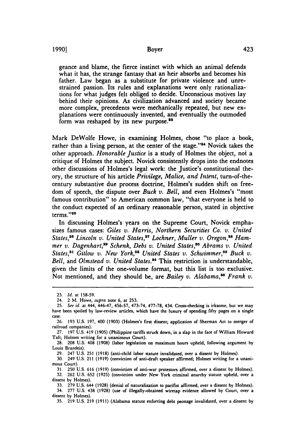**1990]**

geance and blame, the fierce instinct with which an animal defends what it has, the strange fantasy that an heir absorbs and becomes his father. Law began as a substitute for private violence and unrestrained passion. Its rules and explanations were only rationalizations for what judges felt obliged to decide. Unconscious motives lay behind their opinions. As civilization advanced and society became more complex, precedents were mechanically repeated, but new explanations were continuously invented, and eventually the outmoded form was reshaped by its new purpose.<sup>23</sup>

Mark DeWolfe Howe, in examining Holmes, chose "to place a book, rather than a living person, at the center of the stage."<sup>24</sup> Novick takes the other approach. *Honorable Justice* is a study of Holmes the object, noi a critique of Holmes the subject. Novick consistently drops into the endnotes other discussions of Holmes's legal work: the Justice's constitutional theory, the structure of his article *Privilege, Malice, and Intent,* turn-of-thecentury substantive due process doctrine, Holmes's sudden shift on freedom of speech, the dispute over *Buck v. Bell,* and even Holmes's "most famous contribution" to American common law, "that everyone is held to the conduct expected of an ordinary reasonable person, stated in objective terms."<sup>25</sup>

In discussing Holmes's years on the Supreme Court, Novick emphasizes famous cases: Giles *v. Harris, Northern Securities Co. v. United* States,<sup>26</sup> Lincoln v. United States,<sup>27</sup> Lochner, Muller v. Oregon,<sup>28</sup> Ham*mer v. Dagenhart,'9 Schenk, Debs v. United States,83 Abrams v. United States, 1 Gitlow v. New York,82 United States v. Schwimmer,3' Buck v. Bell,* and *Olmstead v. United States."* This restriction is understandable, given the limits of the one-volume format, but this list is too exclusive. Not mentioned, and they should be, are *Bailey v. Alabama*,<sup>35</sup> Frank v.

<sup>23.</sup> *Id.* at 158-59.

<sup>24. 2</sup> M. Howe, *supra* note **6,** at 253.

<sup>25.</sup> *See id.* at 444, 446-47, 456-57, 473-74, **477-78,** 434. Cross-checking is irksome, but we may have been spoiled **by** law-review articles, which have the luxury of spending fifty pages on a single case.

**<sup>26. 193</sup>** U.S. 197, 400 (1903) (Holmes's first dissent; application of Sherman Act to merger of railroad companies).

**<sup>27.</sup>** 197 U.S. 419 **(1905)** .(Philippine tariffs struck down, in a slap in the face of William Howard Taft; Holmes writing for a unanimous Court).

<sup>28. 208</sup> U.S. 408 (1908) (labor legislation on maximum hours upheld, following argument by Louis Brandeis).

**<sup>29.</sup>** 247 U.S. **251** (1918) (anti-child labor statute invalidated, over a dissent **by** Holmes).

**<sup>30.</sup>** 249 U.S. 211 (1919) (conviction of anti-draft speaker affirmed; Holmes writing for a unanimous Court).

<sup>31. 250</sup> U.S. 616 (1919) (conviction of anti-war protestors affirmed, over a dissent by Holmes).

<sup>32. 262</sup> U.S. 652 (1925) (conviction under New York criminal anarchy statute upheld, over a dissent by Holmes).

<sup>33.</sup> 279 U.S. 644 (1928) (denial of naturalization to pacifist affirmed, over a dissent by Holmes). 34. 277 U.S. 438 (1928) (use of illegally-obtained wiretap evidence allowed by Court, over a dissent by Holmes).

<sup>35. 219</sup> U.S. 219 (1911) (Alabama statute enforcing debt peonage invalidated, over a dissent by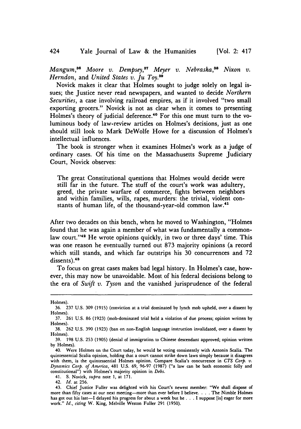*Mangum*,<sup>36</sup> *Moore v. Dempsey*,<sup>37</sup> *Meyer v. Nebraska*,<sup>38</sup> *Nixon v. Herndon,* and *United States v. Ju Toy. <sup>39</sup>*

Novick makes it clear that Holmes sought to judge solely on legal issues; the Justice never read newspapers, and wanted to decide *Northern Securities,* a case involving railroad empires, as if it involved "two small exporting grocers." Novick is not as clear when it comes to presenting Holmes's theory of judicial deference.<sup>40</sup> For this one must turn to the voluminous body of law-review articles on Holmes's decisions, just as one should still look to Mark DeWolfe Howe for a discussion of Holmes's intellectual influences.

The book is stronger when it examines Holmes's work as a judge of ordinary cases. Of his time on the Massachusetts Supreme Judiciary Court, Novick observes:

The great Constitutional questions that Holmes would decide were still far in the future. The stuff of the court's work was adultery, greed, the private warfare of commerce, fights between neighbors and within families, wills, rapes, murders: the trivial, violent constants of human life, of the thousand-year-old common law.41

After two decades on this bench, when he moved to Washington, "Holmes found that he was again a member of what was fundamentally a commonlaw court."<sup>42</sup> He wrote opinions quickly, in two or three days' time. This was one reason he eventually turned out 873 majority opinions (a record which still stands, and which far outstrips his 30 concurrences and 72 dissents).<sup>43</sup>

To focus on great cases makes bad legal history. In Holmes's case, however, this may now be unavoidable. Most of his federal decisions belong to the era of *Swift v. Tyson* and the vanished jurisprudence of the federal

424

Holmes).

<sup>36. 237</sup> U.S. 309 (1915) (conviction at a trial dominated by lynch mob upheld, over a dissent by Holmes).

<sup>37. 261</sup> U.S. 86 (1923) (mob-dominated trial held a violation of due process; opinion written by Holmes).

<sup>38. 262</sup> U.S. 390 (1923) (ban on non-English language instruction invalidated, over a dissent by Holmes).

<sup>39. 198</sup> U.S. 253 (1905) (denial of immigration to Chinese descendant approved; opinion written by Holmes).

<sup>40.</sup> Were Holmes on the Court today, he would be voting consistently with Antonin Scalia. The quintessential Scalia opinion, holding that a court cannot strike down laws simply because it disagrees with them, is the quintessential Holmes opinion. Compare Scalia's concurrence in *CTS Corp. v. Dynamics Corp. of America,* 481 U.S. 69, 96-97 (1987) ("a law can be both economic folly and constitutional") with Holmes's majority opinion in *Debs.*

<sup>41.</sup> S. Novick, *supra* note 1, at 171.

<sup>42.</sup> *Id.* at 256.

<sup>43.</sup> Chief Justice Fuller was delighted with his Court's newest member: "We shall dispose of more than fifty cases at our next meeting-more than ever before I believe. . . . The Nimble Holmes has got out his last-I delayed his progress for about a week but he **. .** .I suppose [is] eager for more work." *Id., citing* W. King, Melville Weston Fuller 291 (1950).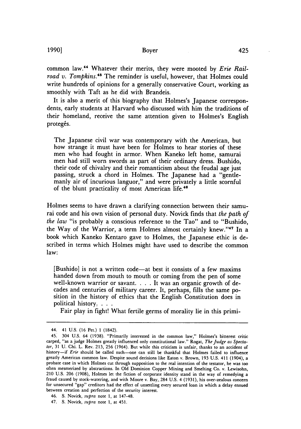common law.<sup>44</sup> Whatever their merits, they were mooted by *Erie Railroad v. Tompkins.*<sup>45</sup> The reminder is useful, however, that Holmes could write hundreds of opinions for a generally conservative Court, working as smoothly with Taft as he did with Brandeis.

It is also a merit of this biography that Holmes's Japanese correspondents, early students at Harvard who discussed with him the traditions of their homeland, receive the same attention given to Holmes's English protegés.

The Japanese civil war was contemporary with the American, but how strange it must have been for Holmes to hear stories of these men who had fought in armor. When Kaneko left home, samurai men had still worn swords as part of their ordinary dress. Bushido, their code of chivalry and their romanticism about the feudal age just passing, struck a chord in Holmes. The Japanese had a "gentlemanly air of incurious languor," and were privately a little scornful of the blunt practicality of most American life.<sup>46</sup>

Holmes seems to have drawn a clarifying connection between their samurai code and his own vision of personal duty. Novick finds that *the path of the law* "is probably a conscious reference to the Tao" and to "Bushido, the Way of the Warrior, a term Holmes almost certainly knew."<sup>47</sup> In a book which Kaneko Kentaro gave to Holmes, the Japanese ethic is described in terms which Holmes might have used to describe the common law:

[Bushido] is not a written code-at best it consists of a few maxims handed down from mouth to mouth or coming from the pen of some well-known warrior or savant. . . . It was an organic growth of decades and centuries of military career. It, perhaps, fills the same position in the history of ethics that the English Constitution does in political history. **.** . .<br>**Fair play in fight!** What fertile germs of morality lie in this primi-

**1990]**

<sup>44. 41</sup> U.S. (16 Pet.) 1 (1842).

<sup>45. 304</sup> U.S. 64 (1938). "Primarily interested in the common law," Holmes's bitterest critic carped, "as a judge Holmes greatly influenced only constitutional law." Rogat, *The Judge as Spectator,* 31 U. Chi. L. Rev. 213, 256 (1964). But while this criticism is unfair, thanks to an accident of history-if *Erie* should be called such-one can still be thankful that Holmes failed to influence greatly American common law. Despite sound decisions like Eaton v. Brown, 193 U.S. 411 (1904), a probate case in which Holmes cut through supposition to the real intention of the testator, he was too often mesmerized by abstractions. In Old Dominion Copper Mining and Smelting Co. v. Lewisohn, 210 U.S. 206 (1908), Holmes let the fiction of corporate identity stand in the way of remedying a fraud caused by stock-watering, and with Moore v. Bay, 284 U.S. 4 (1931), his over-zealous concern for unsecured "gap" creditors had the effect of unsettling every secured loan in which a delay ensued between creation and perfection of the security interest.

<sup>46.</sup> **S.** Novick, *supra* note 1, at 147-48.

<sup>47.</sup> **S.** Novick, *supra* note 1, at 451.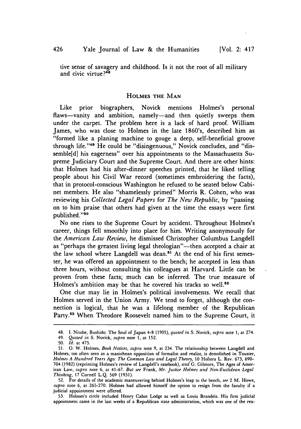tive sense of savagery and childhood. Is it not the root of all military and civic virtue? $48$ 

#### **HOLMES** THE **MAN**

Like prior biographers, Novick mentions Holmes's personal flaws-vanity and ambition, namely-and then quietly sweeps them under the carpet. The problem here is a lack of hard proof. William James, who was close to Holmes in the late 1860's, described him as "formed like a planing machine to gouge a deep, self-beneficial groove through life."<sup>49</sup> He could be "disingenuous," Novick concludes, and "dissemble[d] his eagerness" over his appointments to the Massachusetts Supreme Judiciary Court and the Supreme Court. And there are other hints: that Holmes had his after-dinner speeches printed, that he liked telling people about his Civil War record (sometimes embroidering the facts), that in protocol-conscious Washington he refused to be seated below Cabinet members. He also "shamelessly primed" Morris R. Cohen, who was reviewing his *Collected Legal Papers* for *The New Republic,* by "passing on to him praise that others had given at the time the essays were first published."<sup>50</sup>

No one rises to the Supreme Court by accident. Throughout Holmes's career, things fell smoothly into place for him. Writing anonymously for the *American Law Review,* he dismissed Christopher Columbus Langdell as "perhaps the greatest living legal theologian"-then accepted a chair at the law school where Langdell was dean.<sup>51</sup> At the end of his first semester, he was offered an appointment to the bench; he accepted in less than three hours, without consulting his colleagues at Harvard. Little can be proven from these facts; much can be inferred. The true measure of Holmes's ambition may be that he covered his tracks so well.<sup>52</sup>

One clue may lie in Holmes's political involvements. We recall that Holmes served in the Union Army. We tend to forget, although the connection is logical, that he was a lifelong member of the Republican Party.<sup>53</sup> When Theodore Roosevelt named him to the Supreme Court, it

53. Holmes's circle included Henry Cabot Lodge as well as Louis Brandeis. His first judicial appointment came in the last weeks of a Republican state administration, which was one of the rea-

<sup>48.</sup> **1.** Nitobe, Bushido: The Soul of Japan 4-8 (1905), *quoted in* S. Novick, *supra* note **1,** at 274.

<sup>49.</sup> *Quoted in* S. Novick, *supra* note 1, at 152.

<sup>50.</sup> *Id.* at 475.

<sup>51.</sup> **0.** W. Holmes, *Book Notices, supra* note 9, at 234. The relationship between Langdell and Holmes, too often seen as a manichean opposition of formalist and realist, is demolished in Touster, *Holmes A Hundred Years Ago: The Common Law and Legal Theory,* 10 Hofstra L. Rev. 673, 690- 704 (1982) (reprinting Holmes's review of Langdell's casebook), *and* G. Gilmore, The Ages of American Law, *supra* note 6, at 41-67. *But see* Frank, *Mr. Justice Holmes and Non-Euclidean Legal Thinking,* 17 Cornell L.Q. 569 (1931).

<sup>52.</sup> For details of the academic maneuvering behind Holmes's leap to the bench, *see* 2 M. Howe, *supra* note 6, at 265-270. Holmes had allowed himself the option to resign from the faculty if a judicial appointment were offered.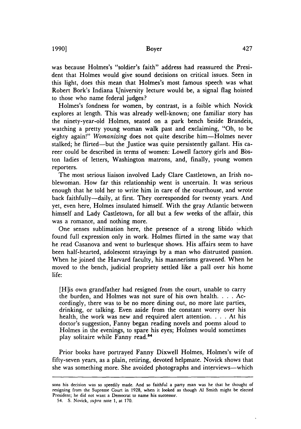was because Holmes's "soldier's faith" address had reassured the President that Holmes would give sound decisions on critical issues. Seen in this light, does this mean that Holmes's most famous speech was what Robert Bork's Indiana University lecture would be, a signal flag hoisted to those who name federal judges?

Holmes's fondness for women, by contrast, is a foible which Novick explores at length. This was already well-known; one familiar story has the ninety-year-old Holmes, seated on a park bench beside Brandeis, watching a pretty young woman walk past and exclaiming, "Oh, to be eighty again!" *Womanizing* does not quite describe him-Holmes never stalked; he flirted—but the Justice was quite persistently gallant. His career could be described in terms of women: Lowell factory girls and Boston ladies of letters, Washington matrons, and, finally, young women reporters.

The most serious liaison involved Lady Clare Castletown, an Irish noblewoman. How far this relationship went is uncertain. It was serious enough that he told her to write him in care of the courthouse, and wrote back faithfully-daily, at first. They corresponded for twenty years. And yet, even here, Holmes insulated himself. With the gray Atlantic between himself and Lady Castletown, for all but a few weeks of the affair, this was a romance, and nothing more.

One senses sublimation here, the presence of a strong libido which found full expression only in work. Holmes flirted in the same way that he read Casanova and went to burlesque shows. His affairs seem to have been half-hearted, adolescent strayings by a man who distrusted passion. When he joined the Harvard faculty, his mannerisms gravened. When he moved to the bench, judicial propriety settled like a pall over his home life:

[H]is own grandfather had resigned from the court, unable to carry the burden, and Holmes was not sure of his own health. . **.** . Accordingly, there was to be no more dining out, no more late parties, drinking, or talking. Even aside from the constant worry over his health, the work was new and required alert attention. . **.** . At his doctor's suggestion, Fanny began reading novels and poems aloud to Holmes in the evenings, to spare his eyes; Holmes would sometimes play solitaire while Fanny read. <sup>4</sup>

Prior books have portrayed Fanny Dixwell Holmes, Holmes's wife of fifty-seven years, as a plain, retiring, devoted helpmate. Novick shows that she was something more. She avoided photographs and interviews—which

sons his decision was so speedily made. And so faithful a party man was he that he thought of resigning from the Supreme Court in 1928, when it looked as though **Al** Smith might be elected President; he did not want a Democrat to name his successor.

<sup>54.</sup> **S.** Novick, *supra* note 1, at 170.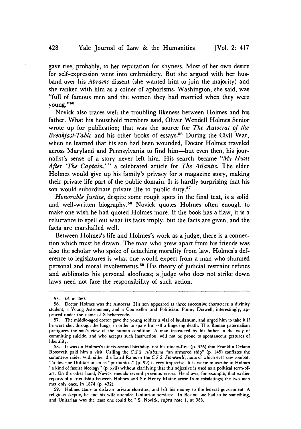gave rise, probably, to her reputation for shyness. Most of her own desire for self-expression went into embroidery. But she argued with her husband over his *Abrams* dissent (she wanted him to join the majority) and she ranked with him as a coiner of aphorisms. Washington, she said, was "full of famous men and the women they had married when they were young. **'55**

Novick also traces well the troubling likeness between Holmes and his father. What his household members said, Oliver Wendell Holmes Senior wrote up for publication; that was the source for *The Autocrat of the Breakfast-Table* and his other books of essays.<sup>56</sup> During the Civil War, when he learned that his son had been wounded, Doctor Holmes traveled across Maryland and Pennsylvania to find him-but even then, his journalist's sense of a story never left him. His search became *"My Hunt After 'The Captain,'* " a celebrated article for *The Atlantic.* The elder Holmes would give up his family's privacy for a magazine story, making their private life part of the public domain. It is hardly surprising that his son would subordinate private life to public duty.<sup>57</sup>

*Honorable Justice,* despite some rough spots in the final text, is a solid and well-written biography.58 Novick quotes Holmes often enough to make one wish he had quoted Holmes more. If the book has a flaw, it is a reluctance to spell out what its facts imply, but the facts are given, and the facts are marshalled well.

Between Holmes's life and Holmes's work as a judge, there is a connection which must be drawn. The man who grew apart from his friends was also the scholar who spoke of detaching morality from law. Holmes's deference to legislatures is what one would expect from a man who shunned personal and moral involvements.<sup>59</sup> His theory of judicial restraint refines and sublimates his personal aloofness; a judge who does not strike down laws need not face the responsibility of such action.

59. Holmes came to disfavor private charities, and left his money to the federal government. A religious skeptic, he and his wife attended Unitarian services: "In Boston one had to be something, and Unitarian was the least one could be." S. Novick, *supra* note **1,** at 368.

<sup>55.</sup> *Id.* at 260.

<sup>56.</sup> Doctor Holmes was the Autocrat. His son appeared as three successive characters: a divinity student, a Young Astronomer, and a Counsellor and Politician. Fanny Dixwell, interestingly, appeared under the name of Scheherezade.

<sup>57.</sup> The middle-aged doctor gave the young soldier a vial of laudanum, and urged him to take it if he were shot through the lungs, in order to spare himself a lingering death. This Roman paternalism prefigures the son's view of the human condition. A man instructed by his father in the way of committing suicide, and who accepts such instruction, will not be prone to spontaneous gestures of liberality.

<sup>58.</sup> It was on Holmes's ninety-second birthday, not his ninety-first (p. 376) that Franklin Delano Roosevelt paid him a visit. Calling the *C.S.S.* Alabama "an armored ship" (p. 145) conflates the commerce raider with either the Laird Rams or the *C.S.S. Stonewall,* none of which ever saw combat. To describe Utilitarianism as "puritanical" (p. 99) is very imprecise. It is worse to ascribe to Holmes "a kind of fascist ideology" (p. xvii) without clarifying that this adjective is used as a political term-ofart. On the other hand, Novick emends several previous errors. He shows, for example, that earlier reports of a friendship between Holmes and Sir Henry Maine arose from misdatings; the two men met only once, in 1874 (p. 432).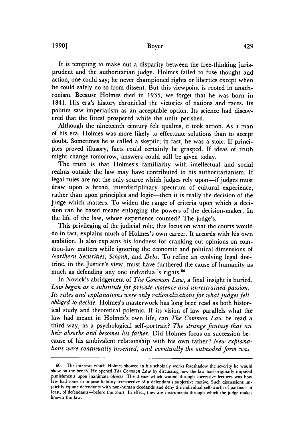#### Boyer

It is tempting to make out a disparity between the free-thinking jurisprudent and the authoritarian judge. Holmes failed to fuse thought and action, one could say; he never championed rights or liberties except when he could safely do so from dissent. But this viewpoint is rooted in anachronism. Because Holmes died in 1935, we forget that he was born in 1841. His era's history chronicled the victories of nations and races. Its politics saw imperialism as an acceptable option. Its science had discovered that the fittest prospered while the unfit perished.

Although the nineteenth century felt qualms, it took action. As a man of his era, Holmes was more likely to effectuate solutions than to accept doubt. Sometimes he is called a skeptic; in fact, he was a stoic. If principles proved illusory, facts could certainly be grasped. If ideas of truth might change tomorrow, answers could still be given today.

The truth is that Holmes's familiarity with intellectual and social realms outside the law may have contributed to his authoritarianism. If legal rules are not the only source which judges rely upon-if judges must draw upon a broad, interdisciplinary spectrum of cultural experience, rather than upon principles and logic-then it is really the decision of the judge which matters. To widen the range of criteria upon which a decision can be based means enlarging the powers of the decision-maker. In the life of the law, whose experience counted? The judge's.

This privileging of the judicial role, this focus on what the courts would do in fact, explains much of Holmes's own career. It accords with his own ambition. It also explains his fondness for cranking out opinions on common-law matters while ignoring the economic and political dimensions of *Northern Securities, Schenk,* and *Debs.* To refine an evolving legal doctrine, in the Justice's view, must have furthered the cause of humanity as much as defending any one individual's rights.<sup>64</sup>

In Novick's abridgement of *The Common Law,* a final insight is buried. *Law began as a substitute for private violence and unrestrained passion. Its rules and explanations were only rationalizations for what judges felt obliged to decide.* Holmes's masterwork has long been read as both historical study and theoretical polemic. If its vision of law parallels what the law had meant in Holmes's own life, can *The Common Law* be read a third way, as a psychological self-portrait? *The strange fantasy that an heir absorbs and becomes his father..* Did Holmes focus on succession because of his ambivalent relationship with his own father? *New explanations were continually invented, and eventually the outmoded form was*

<sup>60.</sup> The interests which Holmes showed in his scholarly works foreshadow the severity he would show on the bench. He opened *The Common Law* by discussing how the law had originally imposed punishments upon inanimate objects. The theme which wound through successive lectures was how law had come to impose liability irrespective of a defendant's subjective motive. Such discussions implicitly equate defendants with non-human deodands and deny the individual self-worth of parties-at least, of defendants-before the court. In effect, they are instruments through which the judge makes known the law.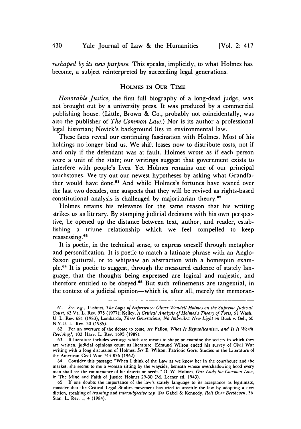*reshaped by its new purpose.* This speaks, implicitly, to what Holmes has become, a subject reinterpreted by succeeding legal generations.

#### HOLMES **IN OUR TIME**

*Honorable Justice,* the first full biography of a long-dead judge, was not brought out by a university press. It was produced by a commercial publishing house. (Little, Brown & Co., probably not coincidentally, was also the publisher of *The Common Law.)* Nor is its author a professional legal historian; Novick's background lies in environmental law.

These facts reveal our continuing fascination with Holmes. Most of his holdings no longer bind us. We shift losses now to distribute costs, not if and only if the defendant was at fault. Holmes wrote as if each person were a unit of the state; our writings suggest that government exists to interfere with people's lives. Yet Holmes remains one of our principal touchstones. We try out our newest hypotheses by asking what Grandfather would have done.<sup>61</sup> And while Holmes's fortunes have waned over the last two decades, one suspects that they will be revived as rights-based constitutional analysis is challenged by majoritarian theory.62

Holmes retains his relevance for the same reason that his writing strikes us as literary. **By** stamping judicial decisions with his own perspective, he opened up the distance between text, author, and reader, establishing a triune relationship which we feel compelled to keep reassessing. <sup>63</sup>

It is poetic, in the technical sense, to express oneself through metaphor and personification. It is poetic to match a latinate phrase with an Anglo-Saxon guttural, or to whipsaw an abstraction with a homespun example.64 It is poetic to suggest, through the measured cadence of stately language, that the thoughts being expressed are logical and majestic, and therefore entitled to be obeyed.<sup>65</sup> But such refinements are tangential, in the context of a judicial opinion—which is, after all, merely the memoran-

<sup>61.</sup> *See, e.g.,* Tushnet, *The Logic of Experience: Oliver Wendell Holmes on the Supreme Judicial Court,* 63 Va. L. Rev. 975 (1977); Kelley, *A Critical Analysis of Holmes's Theory of Torts,* 61 Wash. U. L. Rev. 681 (1983); Lombardo, *Three Generations, No Imbeciles: New Light on* Buck v. Bell, 60 N.Y.U. L. Rev. 30 (1985).

<sup>62.</sup> For an overture of the debate to come, *see* Fallon, *What Is Republicanism, and Is It Worth Reviving?,* 102 Harv. L. Rev. 1695 (1989).

<sup>63.</sup> If literature includes writings which are meant to shape or examine the society in which they are written, judicial opinions count as literature. Edmund Wilson ended his survey of Civil War writing with a long discussion of Holmes. *See* E. Wilson, Patriotic Gore: Studies in the Literature of the American Civil War 743-876 (1962).

<sup>64.</sup> Consider this passage: "When I think of the Law as we know her in the courthouse and the market, she seems **to** me a woman sitting by the wayside, beneath whose overshadowing hood every man shall see the countenance of his deserts or needs." **0.** W. Holmes, *Our Lady the Common Law,* in The Mind and Faith of Justice Holmes 29-30 (M. Lerner ed. 1943).

<sup>65.</sup> If one doubts the importance of the law's stately language to its acceptance as legitimate, consider that the Critical Legal Studies movement has tried to unsettle the law by adopting a new diction, speaking of *trashing* and *intersubjective zap. See* Gabel & Kennedy, *Roll Over Beethoven,* 36 Stan. L. Rev. 1, 4 (1984).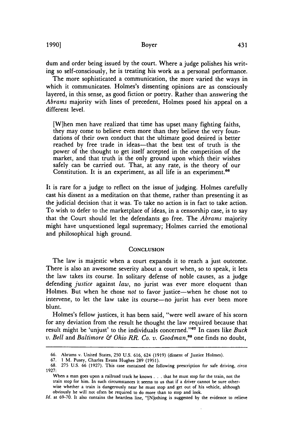dum and order being issued by the court. Where a judge polishes his writing so self-consciously, he is treating his work as a personal performance.

The more sophisticated a communication, the more varied the ways in which it communicates. Holmes's dissenting opinions are as consciously layered, in this sense, as good fiction or poetry. Rather than answering the *Abrams* majority with lines of precedent, Holmes posed his appeal on a different level.

[W]hen men have realized that time has upset many fighting faiths, they may come to believe even more than they believe the very foundations of their own conduct that the ultimate good desired is better reached by free trade in ideas—that the best test of truth is the power of the thought to get itself accepted in the competition of the market, and that truth is the only ground upon which their wishes safely can be carried out. That, at any rate, is the theory of our Constitution. It is an experiment, as all life is an experiment.<sup>66</sup>

It is rare for a judge to reflect on the issue of judging. Holmes carefully cast his dissent as a meditation on that theme, rather than presenting it as the judicial decision that it was. To take no action is in fact to take action. To wish to defer to the marketplace of ideas, in a censorship case, is to say that the Court should let the defendants go free. The *Abrams* majority might have unquestioned legal supremacy; Holmes carried the emotional and philosophical high ground.

#### **CONCLUSION**

The law is majestic when a court expands **it** to reach a just outcome. There is also an awesome severity about a court when, so to speak, it lets the law takes its course. In solitary defense of noble causes, as a judge defending *justice* against *law,* no jurist was ever more eloquent than Holmes. But when he chose *not* to favor justice-when he chose not to intervene, to let the law take its course-no jurist has ever been more blunt.

Holmes's fellow justices, it has been said, "were well aware of his scorn for any deviation from the result he thought the law required because that result might be 'unjust' to the individuals concerned."<sup>67</sup> In cases like *Buck v. Bell and Baltimore & Ohio RR. Co. v. Goodman*,<sup>68</sup> one finds no doubt,

*Id.* at 69-70. It also contains the heartless line, "[N]othing is suggested by the evidence to relieve

<sup>66.</sup> Abrams v. United States, 250 U.S. 616, 624 (1919) (dissent of Justice Holmes).

<sup>67.</sup> **1** M. Pusey, Charles Evans Hughes 289 (1951).

**<sup>68.</sup>** 275 U.S. 66 (1927). This case contained the following prescription for safe driving, circa 1927:

When a man goes upon a railroad track he knows **...** that he must stop for the train, not the train stop for him. In such circumstances it seems to us that if a driver cannot be sure otherwise whether a train is dangerously near he must stop and get out of his vehicle, although obviously he will not often be required to do more than to stop and look.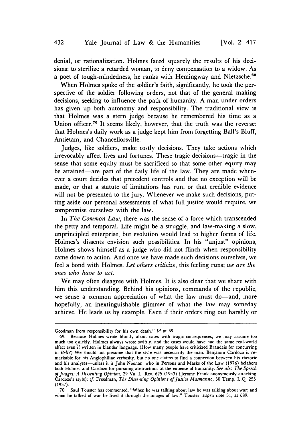denial, or rationalization. Holmes faced squarely the results of his decisions: to sterilize a retarded woman, to deny compensation to a widow. As a poet of tough-mindedness, he ranks with Hemingway and Nietzsche.<sup>69</sup>

When Holmes spoke of the soldier's faith, significantly, he took the perspective of the soldier following orders, not that of the general making decisions, seeking to influence the path of humanity. A man under orders has given up both autonomy and responsibility. The traditional view is that Holmes was a stern judge because he remembered his time as a Union officer.<sup>70</sup> It seems likely, however, that the truth was the reverse: that Holmes's daily work as a judge kept him from forgetting Ball's Bluff, Antietam, and Chancellorsville.

Judges, like soldiers, make costly decisions. They take actions which irrevocably affect lives and fortunes. These tragic decisions—tragic in the sense that some equity must be sacrificed so that some other equity may be attained-are part of the daily life of the law. They are made whenever a court decides that precedent controls and that no exception will be made, or that a statute of limitations has run, or that credible evidence will not be presented to the jury. Whenever we make such decisions, putting aside our personal assessments of what full justice would require, we compromise ourselves with the law.

In *The Common Law,* there was the sense of a force which transcended the petty and temporal. Life might be a struggle, and law-making a slow, unprincipled enterprise, but evolution would lead to higher forms of life. Holmes's dissents envision such possibilities. In his "unjust" opinions, Holmes shows himself as a judge who did not flinch when responsibility came down to action. And once we have made such decisions ourselves, we feel a bond with Holmes. *Let others criticize,* this feeling runs; *we are the ones who have to act.*

We may often disagree with Holmes. It is also clear that we share with him this understanding. Behind his opinions, commands of the republic, we sense a common appreciation of what the law must do-and, more hopefully, an inextinguishable glimmer of what the law may someday achieve. He leads us by example. Even if their orders ring out harshly or

Goodman from responsibility for his own death." Id at 69.

<sup>69.</sup> Because Holmes wrote bluntly about cases with tragic consequences, we may assume too much too quickly. Holmes always wrote swiftly, and the cases would have had the same real-world effect even if written in blander language. (How many people have criticized Brandeis for concurring in Bell?) We should not presume that the style was necessarily the man. Benjamin Cardozo is remarkable for his Anglophiliac verbosity, but no one claims to find a connection between his rhetoric and his analyses-unless it is John Noonan, who in Persons and Masks of the Law (1976) belabors both Holmes and Cardozo for pursuing abstractions at the expense of humanity. See also The Speech *of judges: A Dissenting Opinion,* 29 Va. L. Rev. 625 (1943) (Jerome Frank anonymously attacking Cardozo's style); **cf.** Freedman, *The Dissenting Opinions of Justice Musinanno,* 30 Temp. **L.Q.** 253 (1957).

<sup>70.</sup> Saul Touster has commented, "When he was talking about law he was talking about war; and when he talked of war he lived it through the images of law." Touster, supra note 51, at 689.